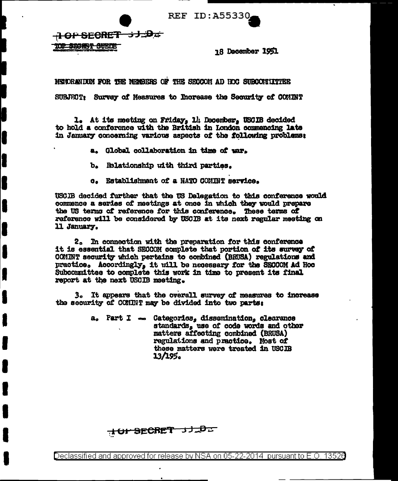**REF ID: A55330.** 

SECRET 31.D.

**SULTA** 

**18 December 1951** 

MEADRANDING FOR THE MEASURE OF THE SECCOM AD HOC SUBCONSTITEER

SUBJECT: Survey of Measures to Increase the Security of COMINT

1. At its meeting on Friday, 14 December, USCIB decided to hold a conference with the British in London commencing late in January concerning various aspects of the following problems:

- a. Global collaboration in time of war.
- b. Relationship with third parties.
- Establishment of a NATO COMINT service.  $\mathbf{c}$

USCIB decided further that the US Delegation to this conference would commence a series of meetings at once in which they would prepare the US terms of reference for this conference. These terms of reference will be considered by USCIB at its next regular meeting on 11 January.

2. In connection with the preparation for this conference it is essential that SECCOM complete that portion of its survey of COMINT security which pertains to combined (BRUSA) regulations and practice. Accordingly, it will be necessary for the SECCOM Ad Hoc Subcommittee to complete this work in time to present its final report at the next USCIB meeting.

3. It appears that the overall survey of measures to increase the security of COMINT may be divided into two parts:

> a. Part I - Categorics, dissemination, clearance standards, use of code words and other matters affecting combined (BRUSA) regulations and practice. Most of these matters were treated in USCIB 13/195。

**TOP SECRET 3JLDL**